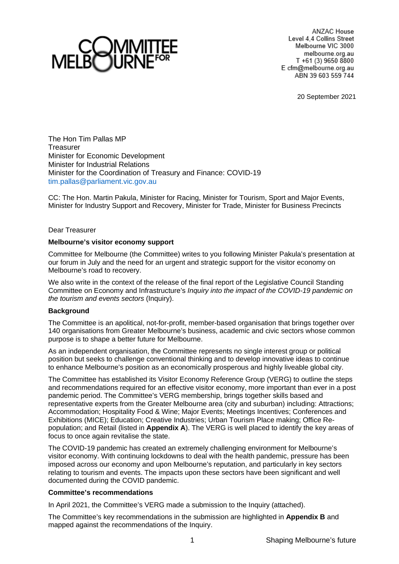

ANZAC House Level 4.4 Collins Street Melbourne VIC 3000 melbourne.org.au T +61 (3) 9650 8800 E cfm@melbourne.org.au ABN 39 603 559 744

20 September 2021

The Hon Tim Pallas MP **Treasurer** Minister for Economic Development Minister for Industrial Relations Minister for the Coordination of Treasury and Finance: COVID-19 [tim.pallas@parliament.vic.gov.au](mailto:tim.pallas@parliament.vic.gov.au)

CC: The Hon. Martin Pakula, Minister for Racing, Minister for Tourism, Sport and Major Events, Minister for Industry Support and Recovery, Minister for Trade, Minister for Business Precincts

Dear Treasurer

#### **Melbourne's visitor economy support**

Committee for Melbourne (the Committee) writes to you following Minister Pakula's presentation at our forum in July and the need for an urgent and strategic support for the visitor economy on Melbourne's road to recovery.

We also write in the context of the release of the final report of the Legislative Council Standing Committee on Economy and Infrastructure's *Inquiry into the impact of the COVID-19 pandemic on the tourism and events sectors* (Inquiry).

## **Background**

The Committee is an apolitical, not-for-profit, member-based organisation that brings together over 140 organisations from Greater Melbourne's business, academic and civic sectors whose common purpose is to shape a better future for Melbourne.

As an independent organisation, the Committee represents no single interest group or political position but seeks to challenge conventional thinking and to develop innovative ideas to continue to enhance Melbourne's position as an economically prosperous and highly liveable global city.

The Committee has established its Visitor Economy Reference Group (VERG) to outline the steps and recommendations required for an effective visitor economy, more important than ever in a post pandemic period. The Committee's VERG membership, brings together skills based and representative experts from the Greater Melbourne area (city and suburban) including: Attractions; Accommodation; Hospitality Food & Wine; Major Events; Meetings Incentives; Conferences and Exhibitions (MICE); Education; Creative Industries; Urban Tourism Place making; Office Repopulation; and Retail (listed in **Appendix A**). The VERG is well placed to identify the key areas of focus to once again revitalise the state.

The COVID-19 pandemic has created an extremely challenging environment for Melbourne's visitor economy. With continuing lockdowns to deal with the health pandemic, pressure has been imposed across our economy and upon Melbourne's reputation, and particularly in key sectors relating to tourism and events. The impacts upon these sectors have been significant and well documented during the COVID pandemic.

#### **Committee's recommendations**

In April 2021, the Committee's VERG made a submission to the Inquiry (attached).

The Committee's key recommendations in the submission are highlighted in **Appendix B** and mapped against the recommendations of the Inquiry.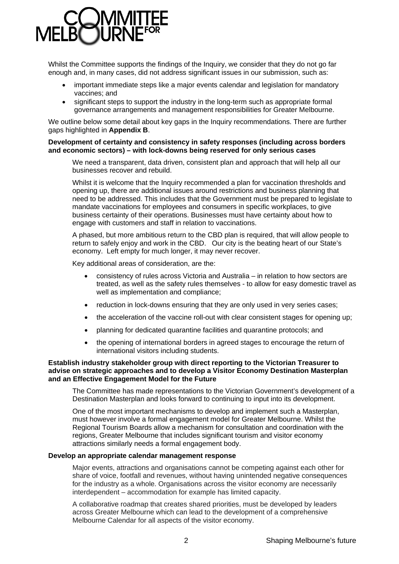

Whilst the Committee supports the findings of the Inquiry, we consider that they do not go far enough and, in many cases, did not address significant issues in our submission, such as:

- important immediate steps like a major events calendar and legislation for mandatory vaccines; and
- significant steps to support the industry in the long-term such as appropriate formal governance arrangements and management responsibilities for Greater Melbourne.

We outline below some detail about key gaps in the Inquiry recommendations. There are further gaps highlighted in **Appendix B**.

#### **Development of certainty and consistency in safety responses (including across borders and economic sectors) – with lock-downs being reserved for only serious cases**

We need a transparent, data driven, consistent plan and approach that will help all our businesses recover and rebuild.

Whilst it is welcome that the Inquiry recommended a plan for vaccination thresholds and opening up, there are additional issues around restrictions and business planning that need to be addressed. This includes that the Government must be prepared to legislate to mandate vaccinations for employees and consumers in specific workplaces, to give business certainty of their operations. Businesses must have certainty about how to engage with customers and staff in relation to vaccinations.

A phased, but more ambitious return to the CBD plan is required, that will allow people to return to safely enjoy and work in the CBD. Our city is the beating heart of our State's economy. Left empty for much longer, it may never recover.

Key additional areas of consideration, are the:

- consistency of rules across Victoria and Australia in relation to how sectors are treated, as well as the safety rules themselves - to allow for easy domestic travel as well as implementation and compliance;
- reduction in lock-downs ensuring that they are only used in very series cases;
- the acceleration of the vaccine roll-out with clear consistent stages for opening up;
- planning for dedicated quarantine facilities and quarantine protocols; and
- the opening of international borders in agreed stages to encourage the return of international visitors including students.

#### **Establish industry stakeholder group with direct reporting to the Victorian Treasurer to advise on strategic approaches and to develop a Visitor Economy Destination Masterplan and an Effective Engagement Model for the Future**

The Committee has made representations to the Victorian Government's development of a Destination Masterplan and looks forward to continuing to input into its development.

One of the most important mechanisms to develop and implement such a Masterplan, must however involve a formal engagement model for Greater Melbourne. Whilst the Regional Tourism Boards allow a mechanism for consultation and coordination with the regions, Greater Melbourne that includes significant tourism and visitor economy attractions similarly needs a formal engagement body.

#### **Develop an appropriate calendar management response**

Major events, attractions and organisations cannot be competing against each other for share of voice, footfall and revenues, without having unintended negative consequences for the industry as a whole. Organisations across the visitor economy are necessarily interdependent – accommodation for example has limited capacity.

A collaborative roadmap that creates shared priorities, must be developed by leaders across Greater Melbourne which can lead to the development of a comprehensive Melbourne Calendar for all aspects of the visitor economy.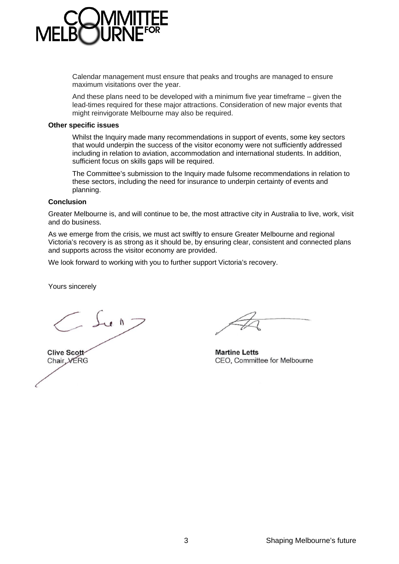

Calendar management must ensure that peaks and troughs are managed to ensure maximum visitations over the year.

And these plans need to be developed with a minimum five year timeframe – given the lead-times required for these major attractions. Consideration of new major events that might reinvigorate Melbourne may also be required.

#### **Other specific issues**

Whilst the Inquiry made many recommendations in support of events, some key sectors that would underpin the success of the visitor economy were not sufficiently addressed including in relation to aviation, accommodation and international students. In addition, sufficient focus on skills gaps will be required.

The Committee's submission to the Inquiry made fulsome recommendations in relation to these sectors, including the need for insurance to underpin certainty of events and planning.

#### **Conclusion**

Greater Melbourne is, and will continue to be, the most attractive city in Australia to live, work, visit and do business.

As we emerge from the crisis, we must act swiftly to ensure Greater Melbourne and regional Victoria's recovery is as strong as it should be, by ensuring clear, consistent and connected plans and supports across the visitor economy are provided.

We look forward to working with you to further support Victoria's recovery.

Yours sincerely

 $\supset$  du  $n$   $\supset$ Clive Scott Chair VERG

**Martine Letts** CEO, Committee for Melbourne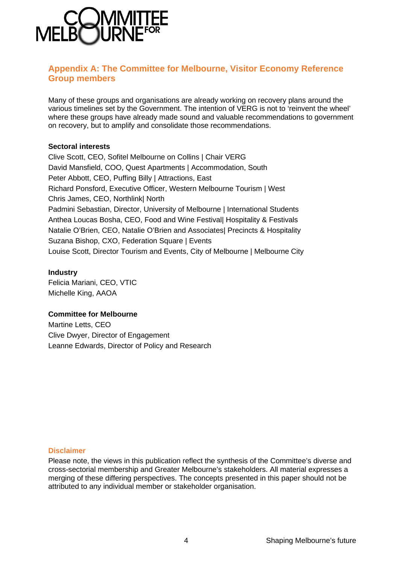

## **Appendix A: The Committee for Melbourne, Visitor Economy Reference Group members**

Many of these groups and organisations are already working on recovery plans around the various timelines set by the Government. The intention of VERG is not to 'reinvent the wheel' where these groups have already made sound and valuable recommendations to government on recovery, but to amplify and consolidate those recommendations.

## **Sectoral interests**

Clive Scott, CEO, Sofitel Melbourne on Collins | Chair VERG David Mansfield, COO, Quest Apartments | Accommodation, South Peter Abbott, CEO, Puffing Billy | Attractions, East Richard Ponsford, Executive Officer, Western Melbourne Tourism | West Chris James, CEO, Northlink| North Padmini Sebastian, Director, University of Melbourne | International Students Anthea Loucas Bosha, CEO, Food and Wine Festival| Hospitality & Festivals Natalie O'Brien, CEO, Natalie O'Brien and Associates| Precincts & Hospitality Suzana Bishop, CXO, Federation Square | Events Louise Scott, Director Tourism and Events, City of Melbourne | Melbourne City

## **Industry**

Felicia Mariani, CEO, VTIC Michelle King, AAOA

## **Committee for Melbourne**

Martine Letts, CEO Clive Dwyer, Director of Engagement Leanne Edwards, Director of Policy and Research

### **Disclaimer**

Please note, the views in this publication reflect the synthesis of the Committee's diverse and cross-sectorial membership and Greater Melbourne's stakeholders. All material expresses a merging of these differing perspectives. The concepts presented in this paper should not be attributed to any individual member or stakeholder organisation.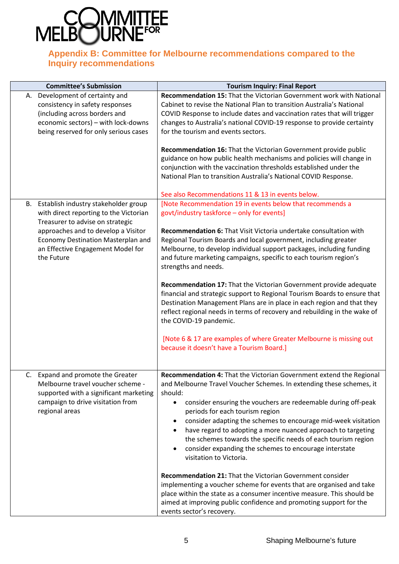

# **Appendix B: Committee for Melbourne recommendations compared to the Inquiry recommendations**

| <b>Committee's Submission</b>                                                                                                                                                                                                                         | <b>Tourism Inquiry: Final Report</b>                                                                                                                                                                                                                                                                                                                                                                                                                                                                                                                                                                                                                                                                                                                                                                                                                                                                                             |
|-------------------------------------------------------------------------------------------------------------------------------------------------------------------------------------------------------------------------------------------------------|----------------------------------------------------------------------------------------------------------------------------------------------------------------------------------------------------------------------------------------------------------------------------------------------------------------------------------------------------------------------------------------------------------------------------------------------------------------------------------------------------------------------------------------------------------------------------------------------------------------------------------------------------------------------------------------------------------------------------------------------------------------------------------------------------------------------------------------------------------------------------------------------------------------------------------|
| A. Development of certainty and<br>consistency in safety responses<br>(including across borders and<br>economic sectors) - with lock-downs<br>being reserved for only serious cases                                                                   | Recommendation 15: That the Victorian Government work with National<br>Cabinet to revise the National Plan to transition Australia's National<br>COVID Response to include dates and vaccination rates that will trigger<br>changes to Australia's national COVID-19 response to provide certainty<br>for the tourism and events sectors.<br>Recommendation 16: That the Victorian Government provide public<br>guidance on how public health mechanisms and policies will change in<br>conjunction with the vaccination thresholds established under the<br>National Plan to transition Australia's National COVID Response.                                                                                                                                                                                                                                                                                                    |
| B. Establish industry stakeholder group<br>with direct reporting to the Victorian<br>Treasurer to advise on strategic<br>approaches and to develop a Visitor<br>Economy Destination Masterplan and<br>an Effective Engagement Model for<br>the Future | See also Recommendations 11 & 13 in events below.<br>[Note Recommendation 19 in events below that recommends a<br>govt/industry taskforce - only for events]<br>Recommendation 6: That Visit Victoria undertake consultation with<br>Regional Tourism Boards and local government, including greater<br>Melbourne, to develop individual support packages, including funding<br>and future marketing campaigns, specific to each tourism region's<br>strengths and needs.<br>Recommendation 17: That the Victorian Government provide adequate<br>financial and strategic support to Regional Tourism Boards to ensure that<br>Destination Management Plans are in place in each region and that they<br>reflect regional needs in terms of recovery and rebuilding in the wake of<br>the COVID-19 pandemic.<br>[Note 6 & 17 are examples of where Greater Melbourne is missing out<br>because it doesn't have a Tourism Board.] |
| C. Expand and promote the Greater<br>Melbourne travel voucher scheme -<br>supported with a significant marketing<br>campaign to drive visitation from<br>regional areas                                                                               | Recommendation 4: That the Victorian Government extend the Regional<br>and Melbourne Travel Voucher Schemes. In extending these schemes, it<br>should:<br>consider ensuring the vouchers are redeemable during off-peak<br>$\bullet$<br>periods for each tourism region<br>consider adapting the schemes to encourage mid-week visitation<br>٠<br>have regard to adopting a more nuanced approach to targeting<br>$\bullet$<br>the schemes towards the specific needs of each tourism region<br>consider expanding the schemes to encourage interstate<br>$\bullet$<br>visitation to Victoria.<br><b>Recommendation 21: That the Victorian Government consider</b><br>implementing a voucher scheme for events that are organised and take<br>place within the state as a consumer incentive measure. This should be<br>aimed at improving public confidence and promoting support for the<br>events sector's recovery.          |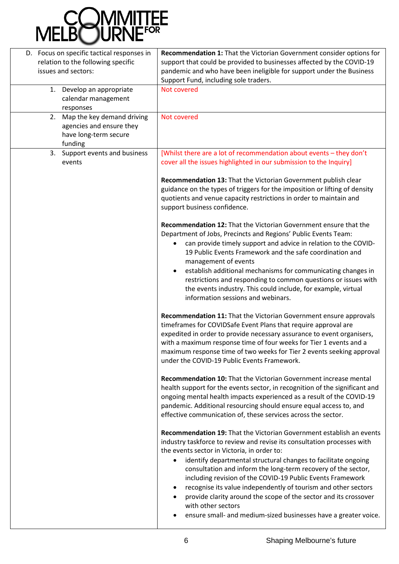

| D. Focus on specific tactical responses in | Recommendation 1: That the Victorian Government consider options for        |
|--------------------------------------------|-----------------------------------------------------------------------------|
| relation to the following specific         | support that could be provided to businesses affected by the COVID-19       |
| issues and sectors:                        | pandemic and who have been ineligible for support under the Business        |
|                                            | Support Fund, including sole traders.                                       |
| Develop an appropriate<br>1.               | Not covered                                                                 |
| calendar management                        |                                                                             |
| responses                                  |                                                                             |
| Map the key demand driving<br>2.           | Not covered                                                                 |
| agencies and ensure they                   |                                                                             |
| have long-term secure                      |                                                                             |
| funding                                    |                                                                             |
| 3. Support events and business             | [Whilst there are a lot of recommendation about events - they don't         |
| events                                     | cover all the issues highlighted in our submission to the Inquiry]          |
|                                            | Recommendation 13: That the Victorian Government publish clear              |
|                                            | guidance on the types of triggers for the imposition or lifting of density  |
|                                            | quotients and venue capacity restrictions in order to maintain and          |
|                                            | support business confidence.                                                |
|                                            | Recommendation 12: That the Victorian Government ensure that the            |
|                                            | Department of Jobs, Precincts and Regions' Public Events Team:              |
|                                            | can provide timely support and advice in relation to the COVID-             |
|                                            | 19 Public Events Framework and the safe coordination and                    |
|                                            | management of events                                                        |
|                                            | establish additional mechanisms for communicating changes in                |
|                                            | restrictions and responding to common questions or issues with              |
|                                            | the events industry. This could include, for example, virtual               |
|                                            | information sessions and webinars.                                          |
|                                            | Recommendation 11: That the Victorian Government ensure approvals           |
|                                            | timeframes for COVIDSafe Event Plans that require approval are              |
|                                            | expedited in order to provide necessary assurance to event organisers,      |
|                                            | with a maximum response time of four weeks for Tier 1 events and a          |
|                                            | maximum response time of two weeks for Tier 2 events seeking approval       |
|                                            | under the COVID-19 Public Events Framework.                                 |
|                                            | Recommendation 10: That the Victorian Government increase mental            |
|                                            | health support for the events sector, in recognition of the significant and |
|                                            | ongoing mental health impacts experienced as a result of the COVID-19       |
|                                            | pandemic. Additional resourcing should ensure equal access to, and          |
|                                            | effective communication of, these services across the sector.               |
|                                            | <b>Recommendation 19: That the Victorian Government establish an events</b> |
|                                            | industry taskforce to review and revise its consultation processes with     |
|                                            | the events sector in Victoria, in order to:                                 |
|                                            | identify departmental structural changes to facilitate ongoing<br>$\bullet$ |
|                                            | consultation and inform the long-term recovery of the sector,               |
|                                            | including revision of the COVID-19 Public Events Framework                  |
|                                            | recognise its value independently of tourism and other sectors              |
|                                            | provide clarity around the scope of the sector and its crossover            |
|                                            | with other sectors                                                          |
|                                            | ensure small- and medium-sized businesses have a greater voice.             |
|                                            |                                                                             |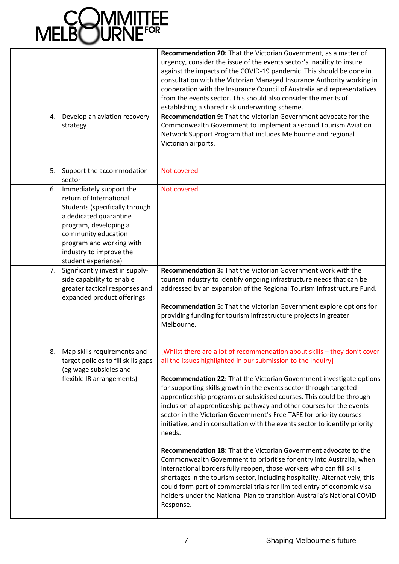

| Develop an aviation recovery<br>4.<br>strategy                                                                                                                                                                                                               | Recommendation 20: That the Victorian Government, as a matter of<br>urgency, consider the issue of the events sector's inability to insure<br>against the impacts of the COVID-19 pandemic. This should be done in<br>consultation with the Victorian Managed Insurance Authority working in<br>cooperation with the Insurance Council of Australia and representatives<br>from the events sector. This should also consider the merits of<br>establishing a shared risk underwriting scheme.<br>Recommendation 9: That the Victorian Government advocate for the<br>Commonwealth Government to implement a second Tourism Aviation<br>Network Support Program that includes Melbourne and regional<br>Victorian airports.                                                                                                                                                                                                                                                                                                                                                      |
|--------------------------------------------------------------------------------------------------------------------------------------------------------------------------------------------------------------------------------------------------------------|---------------------------------------------------------------------------------------------------------------------------------------------------------------------------------------------------------------------------------------------------------------------------------------------------------------------------------------------------------------------------------------------------------------------------------------------------------------------------------------------------------------------------------------------------------------------------------------------------------------------------------------------------------------------------------------------------------------------------------------------------------------------------------------------------------------------------------------------------------------------------------------------------------------------------------------------------------------------------------------------------------------------------------------------------------------------------------|
| Support the accommodation<br>5.                                                                                                                                                                                                                              | Not covered                                                                                                                                                                                                                                                                                                                                                                                                                                                                                                                                                                                                                                                                                                                                                                                                                                                                                                                                                                                                                                                                     |
| sector<br>Immediately support the<br>6.<br>return of International<br>Students (specifically through<br>a dedicated quarantine<br>program, developing a<br>community education<br>program and working with<br>industry to improve the<br>student experience) | Not covered                                                                                                                                                                                                                                                                                                                                                                                                                                                                                                                                                                                                                                                                                                                                                                                                                                                                                                                                                                                                                                                                     |
| 7. Significantly invest in supply-<br>side capability to enable<br>greater tactical responses and<br>expanded product offerings                                                                                                                              | <b>Recommendation 3: That the Victorian Government work with the</b><br>tourism industry to identify ongoing infrastructure needs that can be<br>addressed by an expansion of the Regional Tourism Infrastructure Fund.<br>Recommendation 5: That the Victorian Government explore options for<br>providing funding for tourism infrastructure projects in greater<br>Melbourne.                                                                                                                                                                                                                                                                                                                                                                                                                                                                                                                                                                                                                                                                                                |
| Map skills requirements and<br>8.<br>target policies to fill skills gaps<br>(eg wage subsidies and<br>flexible IR arrangements)                                                                                                                              | [Whilst there are a lot of recommendation about skills - they don't cover<br>all the issues highlighted in our submission to the Inquiry]<br>Recommendation 22: That the Victorian Government investigate options<br>for supporting skills growth in the events sector through targeted<br>apprenticeship programs or subsidised courses. This could be through<br>inclusion of apprenticeship pathway and other courses for the events<br>sector in the Victorian Government's Free TAFE for priority courses<br>initiative, and in consultation with the events sector to identify priority<br>needs.<br>Recommendation 18: That the Victorian Government advocate to the<br>Commonwealth Government to prioritise for entry into Australia, when<br>international borders fully reopen, those workers who can fill skills<br>shortages in the tourism sector, including hospitality. Alternatively, this<br>could form part of commercial trials for limited entry of economic visa<br>holders under the National Plan to transition Australia's National COVID<br>Response. |